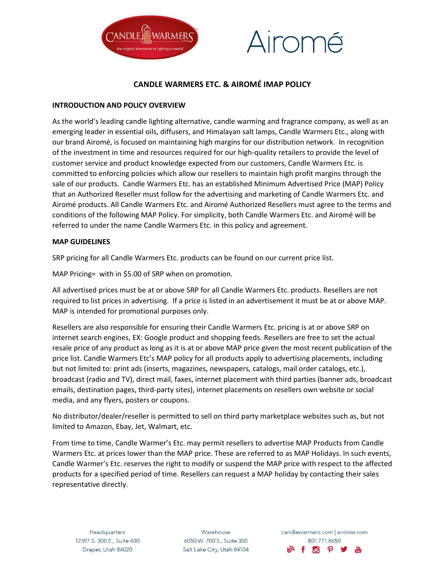



# **CANDLE WARMERS ETC. & AIROMÉ IMAP POLICY**

### **INTRODUCTION AND POLICY OVERVIEW**

As the world's leading candle lighting alternative, candle warming and fragrance company, as well as an emerging leader in essential oils, diffusers, and Himalayan salt lamps, Candle Warmers Etc., along with our brand Airomé, is focused on maintaining high margins for our distribution network. In recognition of the investment in time and resources required for our high-quality retailers to provide the level of customer service and product knowledge expected from our customers, Candle Warmers Etc. is committed to enforcing policies which allow our resellers to maintain high profit margins through the sale of our products. Candle Warmers Etc. has an established Minimum Advertised Price (MAP) Policy that an Authorized Reseller must follow for the advertising and marketing of Candle Warmers Etc. and Airomé products. All Candle Warmers Etc. and Airomé Authorized Resellers must agree to the terms and conditions of the following MAP Policy. For simplicity, both Candle Warmers Etc. and Airomé will be referred to under the name Candle Warmers Etc. in this policy and agreement.

#### **MAP GUIDELINES**

SRP pricing for all Candle Warmers Etc. products can be found on our current price list.

MAP Pricing= with in \$5.00 of SRP when on promotion.

All advertised prices must be at or above SRP for all Candle Warmers Etc. products. Resellers are not required to list prices in advertising. If a price is listed in an advertisement it must be at or above MAP. MAP is intended for promotional purposes only.

Resellers are also responsible for ensuring their Candle Warmers Etc. pricing is at or above SRP on internet search engines, EX: Google product and shopping feeds. Resellers are free to set the actual resale price of any product as long as it is at or above MAP price given the most recent publication of the price list. Candle Warmers Etc's MAP policy for all products apply to advertising placements, including but not limited to: print ads (inserts, magazines, newspapers, catalogs, mail order catalogs, etc.), broadcast (radio and TV), direct mail, faxes, internet placement with third parties (banner ads, broadcast emails, destination pages, third-party sites), internet placements on resellers own website or social media, and any flyers, posters or coupons.

No distributor/dealer/reseller is permitted to sell on third party marketplace websites such as, but not limited to Amazon, Ebay, Jet, Walmart, etc.

From time to time, Candle Warmer's Etc. may permit resellers to advertise MAP Products from Candle Warmers Etc. at prices lower than the MAP price. These are referred to as MAP Holidays. In such events, Candle Warmer's Etc. reserves the right to modify or suspend the MAP price with respect to the affected products for a specified period of time. Resellers can request a MAP holiday by contacting their sales representative directly.

Warehouse 6050 W. 700 S., Suite 300 Salt Lake City, Utah 84104

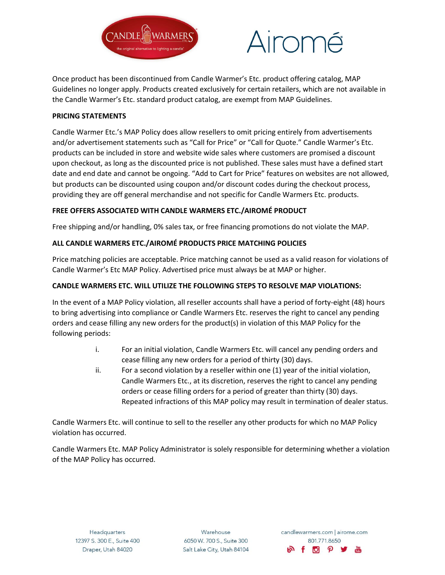



Once product has been discontinued from Candle Warmer's Etc. product offering catalog, MAP Guidelines no longer apply. Products created exclusively for certain retailers, which are not available in the Candle Warmer's Etc. standard product catalog, are exempt from MAP Guidelines.

### **PRICING STATEMENTS**

Candle Warmer Etc.'s MAP Policy does allow resellers to omit pricing entirely from advertisements and/or advertisement statements such as "Call for Price" or "Call for Quote." Candle Warmer's Etc. products can be included in store and website wide sales where customers are promised a discount upon checkout, as long as the discounted price is not published. These sales must have a defined start date and end date and cannot be ongoing. "Add to Cart for Price" features on websites are not allowed, but products can be discounted using coupon and/or discount codes during the checkout process, providing they are off general merchandise and not specific for Candle Warmers Etc. products.

## **FREE OFFERS ASSOCIATED WITH CANDLE WARMERS ETC./AIROMÉ PRODUCT**

Free shipping and/or handling, 0% sales tax, or free financing promotions do not violate the MAP.

## **ALL CANDLE WARMERS ETC./AIROMÉ PRODUCTS PRICE MATCHING POLICIES**

Price matching policies are acceptable. Price matching cannot be used as a valid reason for violations of Candle Warmer's Etc MAP Policy. Advertised price must always be at MAP or higher.

# **CANDLE WARMERS ETC. WILL UTILIZE THE FOLLOWING STEPS TO RESOLVE MAP VIOLATIONS:**

In the event of a MAP Policy violation, all reseller accounts shall have a period of forty-eight (48) hours to bring advertising into compliance or Candle Warmers Etc. reserves the right to cancel any pending orders and cease filling any new orders for the product(s) in violation of this MAP Policy for the following periods:

- i. For an initial violation, Candle Warmers Etc. will cancel any pending orders and cease filling any new orders for a period of thirty (30) days.
- ii. For a second violation by a reseller within one (1) year of the initial violation, Candle Warmers Etc., at its discretion, reserves the right to cancel any pending orders or cease filling orders for a period of greater than thirty (30) days. Repeated infractions of this MAP policy may result in termination of dealer status.

Candle Warmers Etc. will continue to sell to the reseller any other products for which no MAP Policy violation has occurred.

Candle Warmers Etc. MAP Policy Administrator is solely responsible for determining whether a violation of the MAP Policy has occurred.

Warehouse 6050 W. 700 S., Suite 300 Salt Lake City, Utah 84104